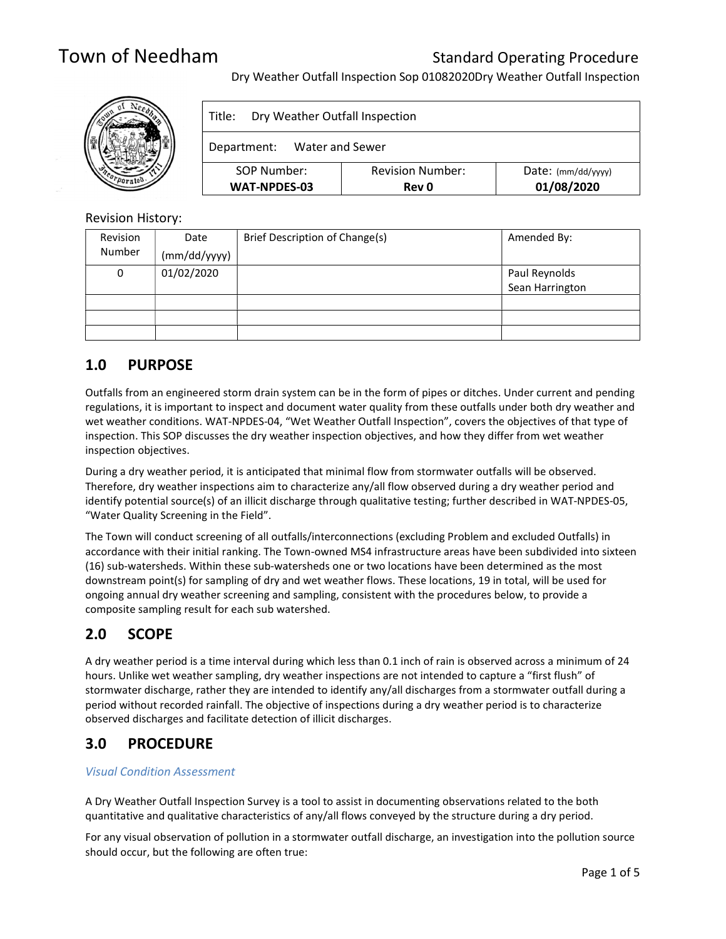Dry Weather Outfall Inspection Sop 01082020Dry Weather Outfall Inspection



| Dry Weather Outfall Inspection<br>Title: |                                         |                                    |  |  |
|------------------------------------------|-----------------------------------------|------------------------------------|--|--|
| Department: Water and Sewer              |                                         |                                    |  |  |
| SOP Number:<br><b>WAT-NPDES-03</b>       | <b>Revision Number:</b><br><b>Rev 0</b> | $Date:$ (mm/dd/yyyy)<br>01/08/2020 |  |  |

## Revision History:

| Revision | Date         | Brief Description of Change(s) | Amended By:     |
|----------|--------------|--------------------------------|-----------------|
| Number   | (mm/dd/yyyy) |                                |                 |
| 0        | 01/02/2020   |                                | Paul Reynolds   |
|          |              |                                | Sean Harrington |
|          |              |                                |                 |
|          |              |                                |                 |
|          |              |                                |                 |

## 1.0 PURPOSE

Outfalls from an engineered storm drain system can be in the form of pipes or ditches. Under current and pending regulations, it is important to inspect and document water quality from these outfalls under both dry weather and wet weather conditions. WAT-NPDES-04, "Wet Weather Outfall Inspection", covers the objectives of that type of inspection. This SOP discusses the dry weather inspection objectives, and how they differ from wet weather inspection objectives.

During a dry weather period, it is anticipated that minimal flow from stormwater outfalls will be observed. Therefore, dry weather inspections aim to characterize any/all flow observed during a dry weather period and identify potential source(s) of an illicit discharge through qualitative testing; further described in WAT-NPDES-05, "Water Quality Screening in the Field".

The Town will conduct screening of all outfalls/interconnections (excluding Problem and excluded Outfalls) in accordance with their initial ranking. The Town-owned MS4 infrastructure areas have been subdivided into sixteen (16) sub-watersheds. Within these sub-watersheds one or two locations have been determined as the most downstream point(s) for sampling of dry and wet weather flows. These locations, 19 in total, will be used for ongoing annual dry weather screening and sampling, consistent with the procedures below, to provide a composite sampling result for each sub watershed.

## 2.0 SCOPE

A dry weather period is a time interval during which less than 0.1 inch of rain is observed across a minimum of 24 hours. Unlike wet weather sampling, dry weather inspections are not intended to capture a "first flush" of stormwater discharge, rather they are intended to identify any/all discharges from a stormwater outfall during a period without recorded rainfall. The objective of inspections during a dry weather period is to characterize observed discharges and facilitate detection of illicit discharges.

## 3.0 PROCEDURE

## Visual Condition Assessment

A Dry Weather Outfall Inspection Survey is a tool to assist in documenting observations related to the both quantitative and qualitative characteristics of any/all flows conveyed by the structure during a dry period.

For any visual observation of pollution in a stormwater outfall discharge, an investigation into the pollution source should occur, but the following are often true: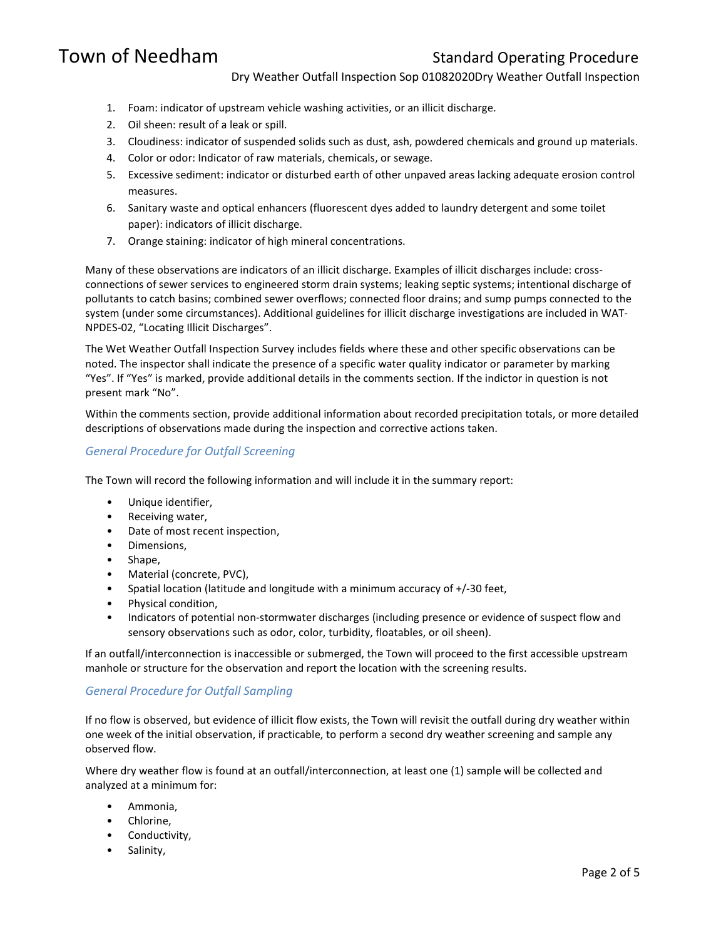Dry Weather Outfall Inspection Sop 01082020Dry Weather Outfall Inspection

- 1. Foam: indicator of upstream vehicle washing activities, or an illicit discharge.
- 2. Oil sheen: result of a leak or spill.
- 3. Cloudiness: indicator of suspended solids such as dust, ash, powdered chemicals and ground up materials.
- 4. Color or odor: Indicator of raw materials, chemicals, or sewage.
- 5. Excessive sediment: indicator or disturbed earth of other unpaved areas lacking adequate erosion control measures.
- 6. Sanitary waste and optical enhancers (fluorescent dyes added to laundry detergent and some toilet paper): indicators of illicit discharge.
- 7. Orange staining: indicator of high mineral concentrations.

Many of these observations are indicators of an illicit discharge. Examples of illicit discharges include: crossconnections of sewer services to engineered storm drain systems; leaking septic systems; intentional discharge of pollutants to catch basins; combined sewer overflows; connected floor drains; and sump pumps connected to the system (under some circumstances). Additional guidelines for illicit discharge investigations are included in WAT-NPDES-02, "Locating Illicit Discharges".

The Wet Weather Outfall Inspection Survey includes fields where these and other specific observations can be noted. The inspector shall indicate the presence of a specific water quality indicator or parameter by marking "Yes". If "Yes" is marked, provide additional details in the comments section. If the indictor in question is not present mark "No".

Within the comments section, provide additional information about recorded precipitation totals, or more detailed descriptions of observations made during the inspection and corrective actions taken.

## General Procedure for Outfall Screening

The Town will record the following information and will include it in the summary report:

- Unique identifier,
- Receiving water,
- Date of most recent inspection,
- Dimensions,
- Shape,
- Material (concrete, PVC),
- Spatial location (latitude and longitude with a minimum accuracy of +/-30 feet,
- Physical condition,
- Indicators of potential non-stormwater discharges (including presence or evidence of suspect flow and sensory observations such as odor, color, turbidity, floatables, or oil sheen).

If an outfall/interconnection is inaccessible or submerged, the Town will proceed to the first accessible upstream manhole or structure for the observation and report the location with the screening results.

### General Procedure for Outfall Sampling

If no flow is observed, but evidence of illicit flow exists, the Town will revisit the outfall during dry weather within one week of the initial observation, if practicable, to perform a second dry weather screening and sample any observed flow.

Where dry weather flow is found at an outfall/interconnection, at least one (1) sample will be collected and analyzed at a minimum for:

- Ammonia,
- Chlorine,
- Conductivity,
- Salinity,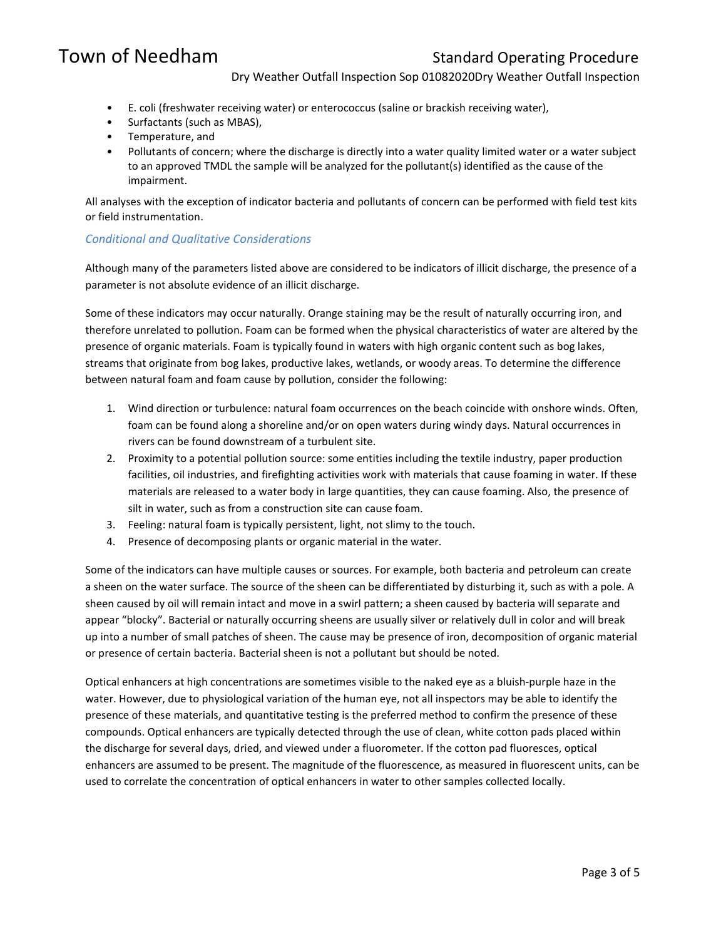Dry Weather Outfall Inspection Sop 01082020Dry Weather Outfall Inspection

- E. coli (freshwater receiving water) or enterococcus (saline or brackish receiving water),
- Surfactants (such as MBAS),
- Temperature, and
- Pollutants of concern; where the discharge is directly into a water quality limited water or a water subject to an approved TMDL the sample will be analyzed for the pollutant(s) identified as the cause of the impairment.

All analyses with the exception of indicator bacteria and pollutants of concern can be performed with field test kits or field instrumentation.

### Conditional and Qualitative Considerations

Although many of the parameters listed above are considered to be indicators of illicit discharge, the presence of a parameter is not absolute evidence of an illicit discharge.

Some of these indicators may occur naturally. Orange staining may be the result of naturally occurring iron, and therefore unrelated to pollution. Foam can be formed when the physical characteristics of water are altered by the presence of organic materials. Foam is typically found in waters with high organic content such as bog lakes, streams that originate from bog lakes, productive lakes, wetlands, or woody areas. To determine the difference between natural foam and foam cause by pollution, consider the following:

- 1. Wind direction or turbulence: natural foam occurrences on the beach coincide with onshore winds. Often, foam can be found along a shoreline and/or on open waters during windy days. Natural occurrences in rivers can be found downstream of a turbulent site.
- 2. Proximity to a potential pollution source: some entities including the textile industry, paper production facilities, oil industries, and firefighting activities work with materials that cause foaming in water. If these materials are released to a water body in large quantities, they can cause foaming. Also, the presence of silt in water, such as from a construction site can cause foam.
- 3. Feeling: natural foam is typically persistent, light, not slimy to the touch.
- 4. Presence of decomposing plants or organic material in the water.

Some of the indicators can have multiple causes or sources. For example, both bacteria and petroleum can create a sheen on the water surface. The source of the sheen can be differentiated by disturbing it, such as with a pole. A sheen caused by oil will remain intact and move in a swirl pattern; a sheen caused by bacteria will separate and appear "blocky". Bacterial or naturally occurring sheens are usually silver or relatively dull in color and will break up into a number of small patches of sheen. The cause may be presence of iron, decomposition of organic material or presence of certain bacteria. Bacterial sheen is not a pollutant but should be noted.

Optical enhancers at high concentrations are sometimes visible to the naked eye as a bluish-purple haze in the water. However, due to physiological variation of the human eye, not all inspectors may be able to identify the presence of these materials, and quantitative testing is the preferred method to confirm the presence of these compounds. Optical enhancers are typically detected through the use of clean, white cotton pads placed within the discharge for several days, dried, and viewed under a fluorometer. If the cotton pad fluoresces, optical enhancers are assumed to be present. The magnitude of the fluorescence, as measured in fluorescent units, can be used to correlate the concentration of optical enhancers in water to other samples collected locally.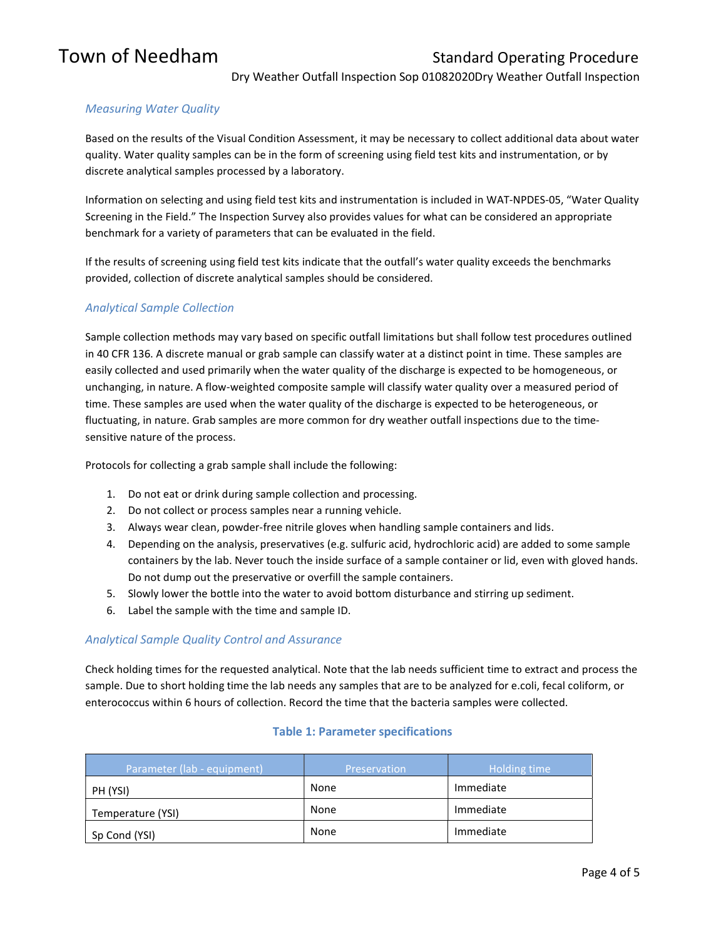Dry Weather Outfall Inspection Sop 01082020Dry Weather Outfall Inspection

## Measuring Water Quality

Based on the results of the Visual Condition Assessment, it may be necessary to collect additional data about water quality. Water quality samples can be in the form of screening using field test kits and instrumentation, or by discrete analytical samples processed by a laboratory.

Information on selecting and using field test kits and instrumentation is included in WAT-NPDES-05, "Water Quality Screening in the Field." The Inspection Survey also provides values for what can be considered an appropriate benchmark for a variety of parameters that can be evaluated in the field.

If the results of screening using field test kits indicate that the outfall's water quality exceeds the benchmarks provided, collection of discrete analytical samples should be considered.

## Analytical Sample Collection

Sample collection methods may vary based on specific outfall limitations but shall follow test procedures outlined in 40 CFR 136. A discrete manual or grab sample can classify water at a distinct point in time. These samples are easily collected and used primarily when the water quality of the discharge is expected to be homogeneous, or unchanging, in nature. A flow-weighted composite sample will classify water quality over a measured period of time. These samples are used when the water quality of the discharge is expected to be heterogeneous, or fluctuating, in nature. Grab samples are more common for dry weather outfall inspections due to the timesensitive nature of the process.

Protocols for collecting a grab sample shall include the following:

- 1. Do not eat or drink during sample collection and processing.
- 2. Do not collect or process samples near a running vehicle.
- 3. Always wear clean, powder-free nitrile gloves when handling sample containers and lids.
- 4. Depending on the analysis, preservatives (e.g. sulfuric acid, hydrochloric acid) are added to some sample containers by the lab. Never touch the inside surface of a sample container or lid, even with gloved hands. Do not dump out the preservative or overfill the sample containers.
- 5. Slowly lower the bottle into the water to avoid bottom disturbance and stirring up sediment.
- 6. Label the sample with the time and sample ID.

### Analytical Sample Quality Control and Assurance

Check holding times for the requested analytical. Note that the lab needs sufficient time to extract and process the sample. Due to short holding time the lab needs any samples that are to be analyzed for e.coli, fecal coliform, or enterococcus within 6 hours of collection. Record the time that the bacteria samples were collected.

### Table 1: Parameter specifications

| Parameter (lab - equipment) | <b>Preservation</b> | Holding time |
|-----------------------------|---------------------|--------------|
| PH (YSI)                    | None                | Immediate    |
| Temperature (YSI)           | None                | Immediate    |
| Sp Cond (YSI)               | None                | Immediate    |